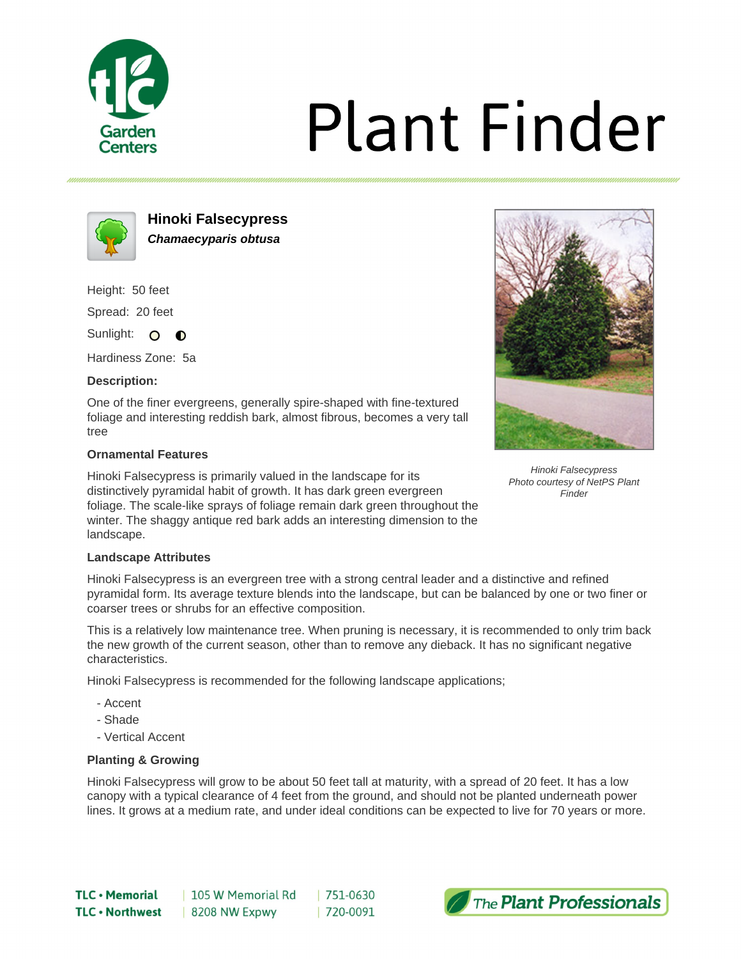

# **Plant Finder**



**Hinoki Falsecypress Chamaecyparis obtusa**

Height: 50 feet

Spread: 20 feet

Sunlight: O  $\bullet$ 

Hardiness Zone: 5a

# **Description:**

One of the finer evergreens, generally spire-shaped with fine-textured foliage and interesting reddish bark, almost fibrous, becomes a very tall tree

# **Ornamental Features**

Hinoki Falsecypress is primarily valued in the landscape for its distinctively pyramidal habit of growth. It has dark green evergreen foliage. The scale-like sprays of foliage remain dark green throughout the winter. The shaggy antique red bark adds an interesting dimension to the landscape.



Hinoki Falsecypress Photo courtesy of NetPS Plant Finder

### **Landscape Attributes**

Hinoki Falsecypress is an evergreen tree with a strong central leader and a distinctive and refined pyramidal form. Its average texture blends into the landscape, but can be balanced by one or two finer or coarser trees or shrubs for an effective composition.

This is a relatively low maintenance tree. When pruning is necessary, it is recommended to only trim back the new growth of the current season, other than to remove any dieback. It has no significant negative characteristics.

Hinoki Falsecypress is recommended for the following landscape applications;

- Accent
- Shade
- Vertical Accent

### **Planting & Growing**

Hinoki Falsecypress will grow to be about 50 feet tall at maturity, with a spread of 20 feet. It has a low canopy with a typical clearance of 4 feet from the ground, and should not be planted underneath power lines. It grows at a medium rate, and under ideal conditions can be expected to live for 70 years or more.